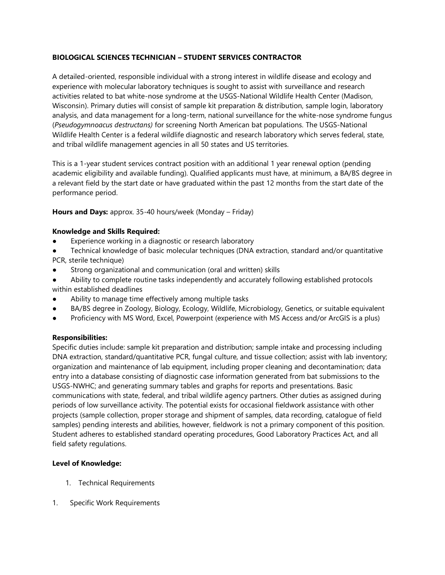## **BIOLOGICAL SCIENCES TECHNICIAN – STUDENT SERVICES CONTRACTOR**

A detailed-oriented, responsible individual with a strong interest in wildlife disease and ecology and experience with molecular laboratory techniques is sought to assist with surveillance and research activities related to bat white-nose syndrome at the USGS-National Wildlife Health Center (Madison, Wisconsin). Primary duties will consist of sample kit preparation & distribution, sample login, laboratory analysis, and data management for a long-term, national surveillance for the white-nose syndrome fungus (*Pseudogymnoacus destructans)* for screening North American bat populations. The USGS-National Wildlife Health Center is a federal wildlife diagnostic and research laboratory which serves federal, state, and tribal wildlife management agencies in all 50 states and US territories.

This is a 1-year student services contract position with an additional 1 year renewal option (pending academic eligibility and available funding). Qualified applicants must have, at minimum, a BA/BS degree in a relevant field by the start date or have graduated within the past 12 months from the start date of the performance period.

#### **Hours and Days:** approx. 35-40 hours/week (Monday – Friday)

#### **Knowledge and Skills Required:**

- Experience working in a diagnostic or research laboratory
- Technical knowledge of basic molecular techniques (DNA extraction, standard and/or quantitative PCR, sterile technique)
- Strong organizational and communication (oral and written) skills
- Ability to complete routine tasks independently and accurately following established protocols within established deadlines
- Ability to manage time effectively among multiple tasks
- BA/BS degree in Zoology, Biology, Ecology, Wildlife, Microbiology, Genetics, or suitable equivalent
- Proficiency with MS Word, Excel, Powerpoint (experience with MS Access and/or ArcGIS is a plus)

#### **Responsibilities:**

Specific duties include: sample kit preparation and distribution; sample intake and processing including DNA extraction, standard/quantitative PCR, fungal culture, and tissue collection; assist with lab inventory; organization and maintenance of lab equipment, including proper cleaning and decontamination; data entry into a database consisting of diagnostic case information generated from bat submissions to the USGS-NWHC; and generating summary tables and graphs for reports and presentations. Basic communications with state, federal, and tribal wildlife agency partners. Other duties as assigned during periods of low surveillance activity. The potential exists for occasional fieldwork assistance with other projects (sample collection, proper storage and shipment of samples, data recording, catalogue of field samples) pending interests and abilities, however, fieldwork is not a primary component of this position. Student adheres to established standard operating procedures, Good Laboratory Practices Act, and all field safety regulations.

#### **Level of Knowledge:**

- 1. Technical Requirements
- 1. Specific Work Requirements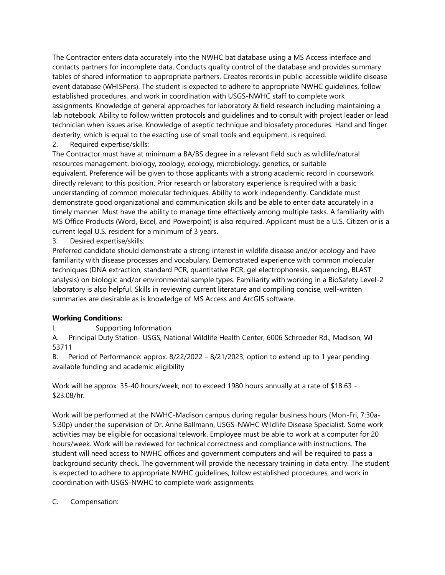The Contractor enters data accurately into the NWHC bat database using a MS Access interface and contacts partners for incomplete data. Conducts quality control of the database and provides summary tables of shared information to appropriate partners. Creates records in public-accessible wildlife disease event database (WHISPers). The student is expected to adhere to appropriate NWHC guidelines, follow established procedures, and work in coordination with USGS-NWHC staff to complete work assignments. Knowledge of general approaches for laboratory & field research including maintaining a lab notebook. Ability to follow written protocols and guidelines and to consult with project leader or lead technician when issues arise. Knowledge of aseptic technique and biosafety procedures. Hand and finger dexterity, which is equal to the exacting use of small tools and equipment, is required.

2. Required expertise/skills:

The Contractor must have at minimum a BA/BS degree in a relevant field such as wildlife/natural resources management, biology, zoology, ecology, microbiology, genetics, or suitable equivalent. Preference will be given to those applicants with a strong academic record in coursework directly relevant to this position. Prior research or laboratory experience is required with a basic understanding of common molecular techniques. Ability to work independently. Candidate must demonstrate good organizational and communication skills and be able to enter data accurately in a timely manner. Must have the ability to manage time effectively among multiple tasks. A familiarity with MS Office Products (Word, Excel, and Powerpoint) is also required. Applicant must be a U.S. Citizen or is a current legal U.S. resident for a minimum of 3 years.

3. Desired expertise/skills:

Preferred candidate should demonstrate a strong interest in wildlife disease and/or ecology and have familiarity with disease processes and vocabulary. Demonstrated experience with common molecular techniques (DNA extraction, standard PCR, quantitative PCR, gel electrophoresis, sequencing, BLAST analysis) on biologic and/or environmental sample types. Familiarity with working in a BioSafety Level-2 laboratory is also helpful. Skills in reviewing current literature and compiling concise, well-written summaries are desirable as is knowledge of MS Access and ArcGIS software.

# **Working Conditions:**

I. Supporting Information

A. Principal Duty Station- USGS, National Wildlife Health Center, 6006 Schroeder Rd., Madison, WI 53711

B. Period of Performance: approx.  $8/22/2022 - 8/21/2023$ ; option to extend up to 1 year pending available funding and academic eligibility

Work will be approx. 35-40 hours/week, not to exceed 1980 hours annually at a rate of \$18.63 - \$23.08/hr.

Work will be performed at the NWHC-Madison campus during regular business hours (Mon-Fri, 7:30a-5:30p) under the supervision of Dr. Anne Ballmann, USGS-NWHC Wildlife Disease Specialist. Some work activities may be eligible for occasional telework. Employee must be able to work at a computer for 20 hours/week. Work will be reviewed for technical correctness and compliance with instructions. The student will need access to NWHC offices and government computers and will be required to pass a background security check. The government will provide the necessary training in data entry. The student is expected to adhere to appropriate NWHC guidelines, follow established procedures, and work in coordination with USGS-NWHC to complete work assignments.

## C. Compensation: